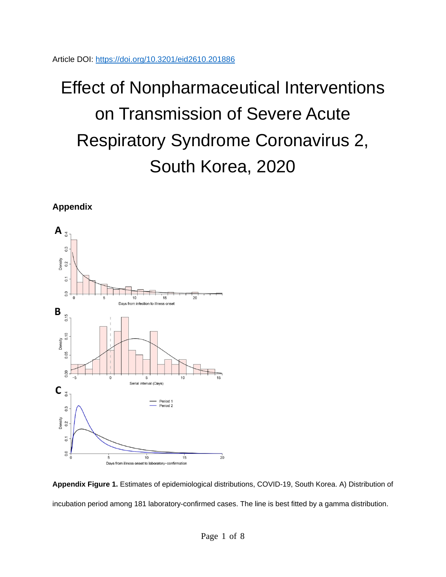Article DOI:<https://doi.org/10.3201/eid2610.201886>

## Effect of Nonpharmaceutical Interventions on Transmission of Severe Acute Respiratory Syndrome Coronavirus 2, South Korea, 2020

**Appendix**



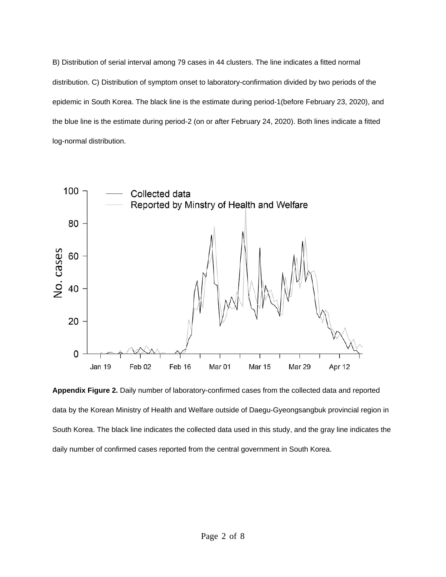B) Distribution of serial interval among 79 cases in 44 clusters. The line indicates a fitted normal distribution. C) Distribution of symptom onset to laboratory-confirmation divided by two periods of the epidemic in South Korea. The black line is the estimate during period-1(before February 23, 2020), and the blue line is the estimate during period-2 (on or after February 24, 2020). Both lines indicate a fitted log-normal distribution.



**Appendix Figure 2.** Daily number of laboratory-confirmed cases from the collected data and reported data by the Korean Ministry of Health and Welfare outside of Daegu-Gyeongsangbuk provincial region in South Korea. The black line indicates the collected data used in this study, and the gray line indicates the daily number of confirmed cases reported from the central government in South Korea.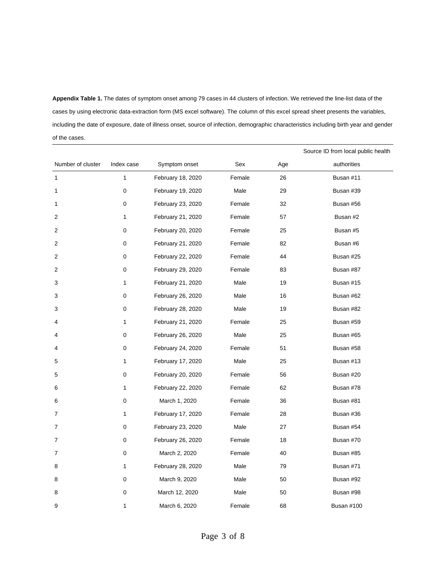**Appendix Table 1.** The dates of symptom onset among 79 cases in 44 clusters of infection. We retrieved the line-list data of the cases by using electronic data-extraction form (MS excel software). The column of this excel spread sheet presents the variables, including the date of exposure, date of illness onset, source of infection, demographic characteristics including birth year and gender of the cases.

|                   |              |                   |        |     | Source ID from local public health |
|-------------------|--------------|-------------------|--------|-----|------------------------------------|
| Number of cluster | Index case   | Symptom onset     | Sex    | Age | authorities                        |
| $\mathbf{1}$      | $\mathbf{1}$ | February 18, 2020 | Female | 26  | Busan #11                          |
| 1                 | 0            | February 19, 2020 | Male   | 29  | Busan #39                          |
| 1                 | 0            | February 23, 2020 | Female | 32  | Busan #56                          |
| 2                 | $\mathbf{1}$ | February 21, 2020 | Female | 57  | Busan #2                           |
| 2                 | 0            | February 20, 2020 | Female | 25  | Busan #5                           |
| 2                 | 0            | February 21, 2020 | Female | 82  | Busan #6                           |
| 2                 | 0            | February 22, 2020 | Female | 44  | Busan #25                          |
| 2                 | 0            | February 29, 2020 | Female | 83  | Busan #87                          |
| 3                 | 1            | February 21, 2020 | Male   | 19  | Busan #15                          |
| 3                 | 0            | February 26, 2020 | Male   | 16  | Busan #62                          |
| 3                 | 0            | February 28, 2020 | Male   | 19  | Busan #82                          |
| 4                 | $\mathbf{1}$ | February 21, 2020 | Female | 25  | Busan #59                          |
| 4                 | 0            | February 26, 2020 | Male   | 25  | Busan #65                          |
| 4                 | 0            | February 24, 2020 | Female | 51  | Busan #58                          |
| 5                 | 1            | February 17, 2020 | Male   | 25  | Busan #13                          |
| 5                 | 0            | February 20, 2020 | Female | 56  | Busan #20                          |
| 6                 | 1            | February 22, 2020 | Female | 62  | Busan #78                          |
| 6                 | 0            | March 1, 2020     | Female | 36  | Busan #81                          |
| 7                 | 1            | February 17, 2020 | Female | 28  | Busan #36                          |
| $\overline{7}$    | 0            | February 23, 2020 | Male   | 27  | Busan #54                          |
| $\overline{7}$    | 0            | February 26, 2020 | Female | 18  | Busan #70                          |
| 7                 | 0            | March 2, 2020     | Female | 40  | Busan #85                          |
| 8                 | $\mathbf{1}$ | February 28, 2020 | Male   | 79  | Busan #71                          |
| 8                 | 0            | March 9, 2020     | Male   | 50  | Busan #92                          |
| 8                 | 0            | March 12, 2020    | Male   | 50  | Busan #98                          |
| 9                 | $\mathbf{1}$ | March 6, 2020     | Female | 68  | <b>Busan #100</b>                  |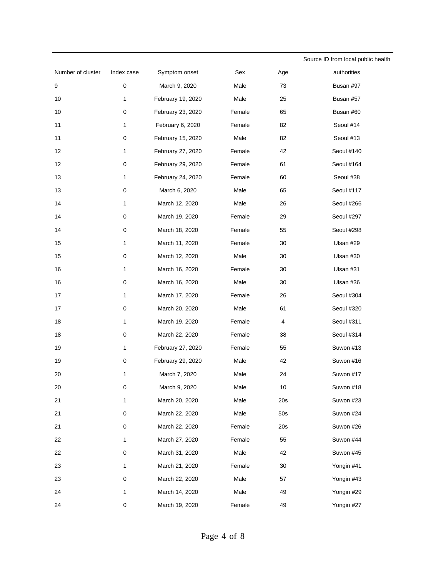|                   |            |                   |        |     | Source ID from local public health |
|-------------------|------------|-------------------|--------|-----|------------------------------------|
| Number of cluster | Index case | Symptom onset     | Sex    | Age | authorities                        |
| $\boldsymbol{9}$  | $\pmb{0}$  | March 9, 2020     | Male   | 73  | Busan #97                          |
| 10                | 1          | February 19, 2020 | Male   | 25  | Busan #57                          |
| 10                | 0          | February 23, 2020 | Female | 65  | Busan #60                          |
| 11                | 1          | February 6, 2020  | Female | 82  | Seoul #14                          |
| 11                | 0          | February 15, 2020 | Male   | 82  | Seoul #13                          |
| 12                | 1          | February 27, 2020 | Female | 42  | Seoul #140                         |
| 12                | 0          | February 29, 2020 | Female | 61  | Seoul #164                         |
| 13                | 1          | February 24, 2020 | Female | 60  | Seoul #38                          |
| 13                | 0          | March 6, 2020     | Male   | 65  | Seoul #117                         |
| 14                | 1          | March 12, 2020    | Male   | 26  | Seoul #266                         |
| 14                | 0          | March 19, 2020    | Female | 29  | Seoul #297                         |
| 14                | 0          | March 18, 2020    | Female | 55  | Seoul #298                         |
| 15                | 1          | March 11, 2020    | Female | 30  | Ulsan #29                          |
| 15                | 0          | March 12, 2020    | Male   | 30  | Ulsan #30                          |
| 16                | 1          | March 16, 2020    | Female | 30  | Ulsan #31                          |
| 16                | 0          | March 16, 2020    | Male   | 30  | Ulsan #36                          |
| 17                | 1          | March 17, 2020    | Female | 26  | Seoul #304                         |
| 17                | 0          | March 20, 2020    | Male   | 61  | Seoul #320                         |
| 18                | 1          | March 19, 2020    | Female | 4   | Seoul #311                         |
| 18                | 0          | March 22, 2020    | Female | 38  | Seoul #314                         |
| 19                | 1          | February 27, 2020 | Female | 55  | Suwon #13                          |
| 19                | 0          | February 29, 2020 | Male   | 42  | Suwon #16                          |
| 20                | 1          | March 7, 2020     | Male   | 24  | Suwon #17                          |
| 20                | 0          | March 9, 2020     | Male   | 10  | Suwon #18                          |
| 21                | 1          | March 20, 2020    | Male   | 20s | Suwon #23                          |
| 21                | 0          | March 22, 2020    | Male   | 50s | Suwon #24                          |
| 21                | 0          | March 22, 2020    | Female | 20s | Suwon #26                          |
| 22                | 1          | March 27, 2020    | Female | 55  | Suwon #44                          |
| 22                | 0          | March 31, 2020    | Male   | 42  | Suwon #45                          |
| 23                | 1          | March 21, 2020    | Female | 30  | Yongin #41                         |
| 23                | 0          | March 22, 2020    | Male   | 57  | Yongin #43                         |
| 24                | 1          | March 14, 2020    | Male   | 49  | Yongin #29                         |
| 24                | 0          | March 19, 2020    | Female | 49  | Yongin #27                         |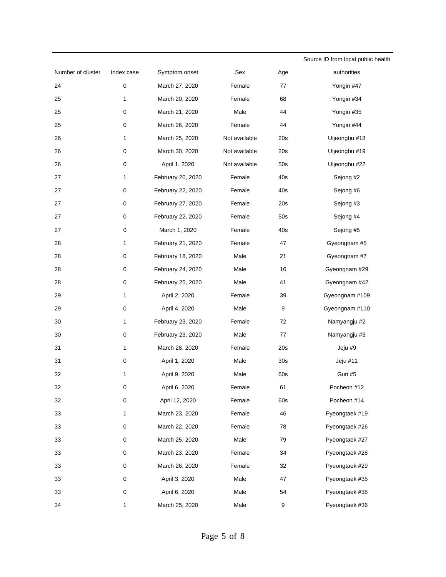|                   |             |                   |               |                 | Source ID from local public health |
|-------------------|-------------|-------------------|---------------|-----------------|------------------------------------|
| Number of cluster | Index case  | Symptom onset     | Sex           | Age             | authorities                        |
| 24                | $\mathsf 0$ | March 27, 2020    | Female        | 77              | Yongin #47                         |
| 25                | 1           | March 20, 2020    | Female        | 68              | Yongin #34                         |
| 25                | 0           | March 21, 2020    | Male          | 44              | Yongin #35                         |
| 25                | 0           | March 26, 2020    | Female        | 44              | Yongin #44                         |
| 26                | 1           | March 25, 2020    | Not available | 20s             | Uijeongbu #18                      |
| 26                | 0           | March 30, 2020    | Not available | 20s             | Uijeongbu #19                      |
| 26                | 0           | April 1, 2020     | Not available | 50s             | Uijeongbu #22                      |
| 27                | 1           | February 20, 2020 | Female        | 40s             | Sejong #2                          |
| 27                | 0           | February 22, 2020 | Female        | 40s             | Sejong #6                          |
| 27                | 0           | February 27, 2020 | Female        | 20s             | Sejong #3                          |
| 27                | 0           | February 22, 2020 | Female        | 50s             | Sejong #4                          |
| 27                | 0           | March 1, 2020     | Female        | 40s             | Sejong #5                          |
| 28                | 1           | February 21, 2020 | Female        | 47              | Gyeongnam #5                       |
| 28                | 0           | February 18, 2020 | Male          | 21              | Gyeongnam #7                       |
| 28                | 0           | February 24, 2020 | Male          | 16              | Gyeongnam #29                      |
| 28                | 0           | February 25, 2020 | Male          | 41              | Gyeongnam #42                      |
| 29                | 1           | April 2, 2020     | Female        | 39              | Gyeongnam #109                     |
| 29                | 0           | April 4, 2020     | Male          | 9               | Gyeongnam #110                     |
| 30                | 1           | February 23, 2020 | Female        | 72              | Namyangju #2                       |
| 30                | 0           | February 23, 2020 | Male          | 77              | Namyangju #3                       |
| 31                | 1           | March 28, 2020    | Female        | 20s             | Jeju #9                            |
| 31                | 0           | April 1, 2020     | Male          | 30 <sub>s</sub> | Jeju #11                           |
| 32                | 1           | April 9, 2020     | Male          | 60s             | Guri #5                            |
| 32                | $\pmb{0}$   | April 6, 2020     | Female        | 61              | Pocheon #12                        |
| 32                | 0           | April 12, 2020    | Female        | 60s             | Pocheon #14                        |
| 33                | 1           | March 23, 2020    | Female        | 46              | Pyeongtaek #19                     |
| 33                | 0           | March 22, 2020    | Female        | 78              | Pyeongtaek #26                     |
| 33                | 0           | March 25, 2020    | Male          | 79              | Pyeongtaek #27                     |
| 33                | 0           | March 23, 2020    | Female        | 34              | Pyeongtaek #28                     |
| 33                | 0           | March 26, 2020    | Female        | 32              | Pyeongtaek #29                     |
| 33                | 0           | April 3, 2020     | Male          | 47              | Pyeongtaek #35                     |
| 33                | 0           | April 6, 2020     | Male          | 54              | Pyeongtaek #38                     |
| 34                | 1           | March 25, 2020    | Male          | 9               | Pyeongtaek #36                     |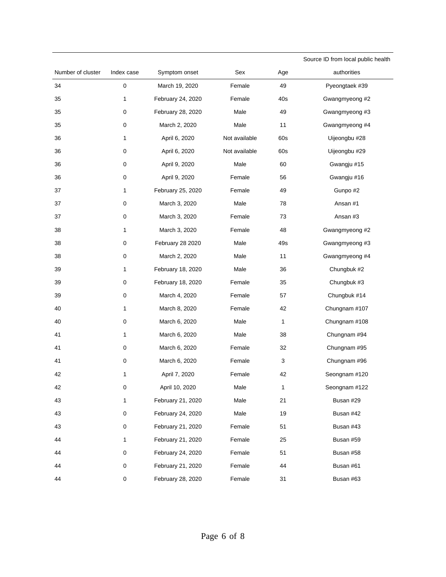|                   |              |                   |               |     | Source ID from local public health |
|-------------------|--------------|-------------------|---------------|-----|------------------------------------|
| Number of cluster | Index case   | Symptom onset     | Sex           | Age | authorities                        |
| 34                | $\mathsf 0$  | March 19, 2020    | Female        | 49  | Pyeongtaek #39                     |
| 35                | 1            | February 24, 2020 | Female        | 40s | Gwangmyeong #2                     |
| 35                | 0            | February 28, 2020 | Male          | 49  | Gwangmyeong #3                     |
| 35                | 0            | March 2, 2020     | Male          | 11  | Gwangmyeong #4                     |
| 36                | 1            | April 6, 2020     | Not available | 60s | Uijeongbu #28                      |
| 36                | 0            | April 6, 2020     | Not available | 60s | Uijeongbu #29                      |
| 36                | 0            | April 9, 2020     | Male          | 60  | Gwangju #15                        |
| 36                | 0            | April 9, 2020     | Female        | 56  | Gwangju #16                        |
| 37                | 1            | February 25, 2020 | Female        | 49  | Gunpo #2                           |
| 37                | $\pmb{0}$    | March 3, 2020     | Male          | 78  | Ansan #1                           |
| 37                | 0            | March 3, 2020     | Female        | 73  | Ansan #3                           |
| 38                | 1            | March 3, 2020     | Female        | 48  | Gwangmyeong #2                     |
| 38                | 0            | February 28 2020  | Male          | 49s | Gwangmyeong #3                     |
| 38                | $\pmb{0}$    | March 2, 2020     | Male          | 11  | Gwangmyeong #4                     |
| 39                | 1            | February 18, 2020 | Male          | 36  | Chungbuk #2                        |
| 39                | $\pmb{0}$    | February 18, 2020 | Female        | 35  | Chungbuk #3                        |
| 39                | 0            | March 4, 2020     | Female        | 57  | Chungbuk #14                       |
| 40                | 1            | March 8, 2020     | Female        | 42  | Chungnam #107                      |
| 40                | 0            | March 6, 2020     | Male          | 1   | Chungnam #108                      |
| 41                | 1            | March 6, 2020     | Male          | 38  | Chungnam #94                       |
| 41                | 0            | March 6, 2020     | Female        | 32  | Chungnam #95                       |
| 41                | 0            | March 6, 2020     | Female        | 3   | Chungnam #96                       |
| 42                | 1            | April 7, 2020     | Female        | 42  | Seongnam #120                      |
| 42                | 0            | April 10, 2020    | Male          | 1   | Seongnam #122                      |
| 43                | $\mathbf{1}$ | February 21, 2020 | Male          | 21  | Busan #29                          |
| 43                | $\mathsf 0$  | February 24, 2020 | Male          | 19  | Busan #42                          |
| 43                | $\mathsf 0$  | February 21, 2020 | Female        | 51  | Busan #43                          |
| 44                | $\mathbf{1}$ | February 21, 2020 | Female        | 25  | Busan #59                          |
| 44                | 0            | February 24, 2020 | Female        | 51  | Busan #58                          |
| 44                | 0            | February 21, 2020 | Female        | 44  | Busan #61                          |
| 44                | 0            | February 28, 2020 | Female        | 31  | Busan #63                          |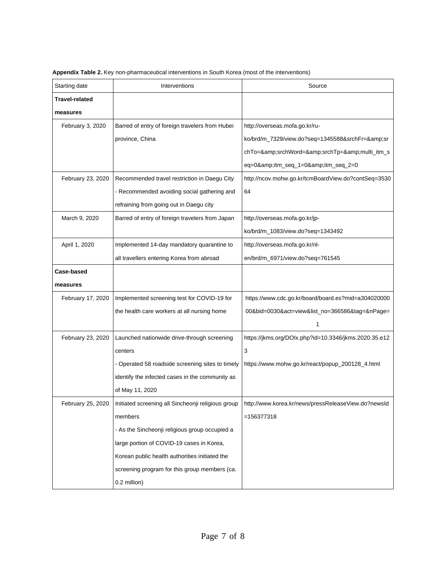| Starting date         | Interventions                                                          | Source                                                |
|-----------------------|------------------------------------------------------------------------|-------------------------------------------------------|
| <b>Travel-related</b> |                                                                        |                                                       |
| measures              |                                                                        |                                                       |
| February 3, 2020      | Barred of entry of foreign travelers from Hubei                        | http://overseas.mofa.go.kr/ru-                        |
|                       | province, China                                                        | ko/brd/m_7329/view.do?seq=1345588&srchFr=&sr          |
|                       |                                                                        | chTo=&srchWord=&srchTp=&multi_itm_s                   |
|                       |                                                                        | eq=0&itm_seq_1=0&itm_seq_2=0                          |
| February 23, 2020     | Recommended travel restriction in Daegu City                           | http://ncov.mohw.go.kr/tcmBoardView.do?contSeq=3530   |
|                       | - Recommended avoiding social gathering and                            | 64                                                    |
|                       | refraining from going out in Daegu city                                |                                                       |
| March 9, 2020         | Barred of entry of foreign travelers from Japan                        | http://overseas.mofa.go.kr/jp-                        |
|                       |                                                                        | ko/brd/m_1083/view.do?seq=1343492                     |
| April 1, 2020         | Implemented 14-day mandatory quarantine to                             | http://overseas.mofa.go.kr/nl-                        |
|                       | all travellers entering Korea from abroad                              | en/brd/m_6971/view.do?seq=761545                      |
| Case-based            |                                                                        |                                                       |
| measures              |                                                                        |                                                       |
| February 17, 2020     | Implemented screening test for COVID-19 for                            | https://www.cdc.go.kr/board/board.es?mid=a304020000   |
|                       | the health care workers at all nursing home                            | 00&bid=0030&act=view&list_no=366586&tag=&nPage=       |
|                       |                                                                        | 1                                                     |
| February 23, 2020     | Launched nationwide drive-through screening                            | https://jkms.org/DOIx.php?id=10.3346/jkms.2020.35.e12 |
|                       | centers                                                                | 3                                                     |
|                       | - Operated 58 roadside screening sites to timely                       | https://www.mohw.go.kr/react/popup_200128_4.html      |
|                       | identify the infected cases in the community as                        |                                                       |
|                       | of May 11, 2020                                                        |                                                       |
|                       | February 25, 2020   Initiated screening all Sincheonji religious group | http://www.korea.kr/news/pressReleaseView.do?newsId   |
|                       | members                                                                | $=156377318$                                          |
|                       | - As the Sincheonii religious group occupied a                         |                                                       |
|                       | large portion of COVID-19 cases in Korea,                              |                                                       |
|                       | Korean public health authorities initiated the                         |                                                       |
|                       | screening program for this group members (ca.                          |                                                       |
|                       | 0.2 million)                                                           |                                                       |

**Appendix Table 2.** Key non-pharmaceutical interventions in South Korea (most of the interventions)